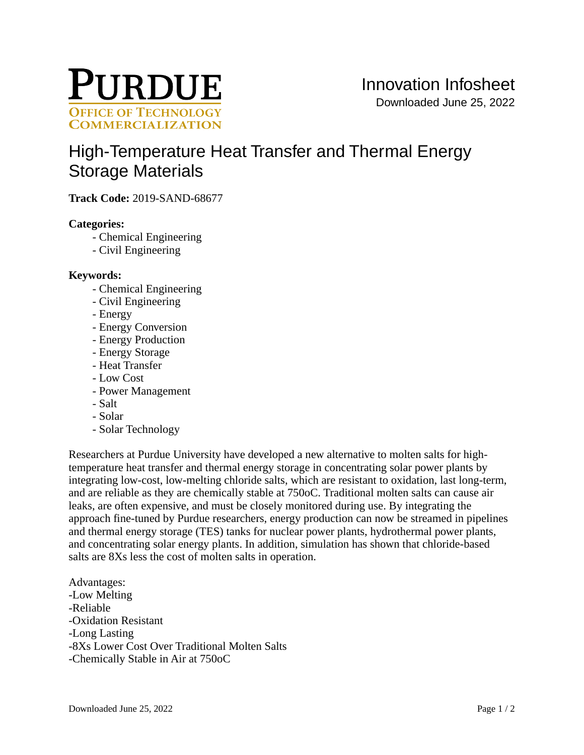

# [High-Temperature Heat Transfer and Thermal Energy](https://inventions.prf.org/innovation/7283)  [Storage Materials](https://inventions.prf.org/innovation/7283)

**Track Code:** 2019-SAND-68677

# **Categories:**

- Chemical Engineering
- Civil Engineering

# **Keywords:**

- Chemical Engineering
- Civil Engineering
- Energy
- Energy Conversion
- Energy Production
- Energy Storage
- Heat Transfer
- Low Cost
- Power Management
- Salt
- Solar
- Solar Technology

Researchers at Purdue University have developed a new alternative to molten salts for hightemperature heat transfer and thermal energy storage in concentrating solar power plants by integrating low-cost, low-melting chloride salts, which are resistant to oxidation, last long-term, and are reliable as they are chemically stable at 750oC. Traditional molten salts can cause air leaks, are often expensive, and must be closely monitored during use. By integrating the approach fine-tuned by Purdue researchers, energy production can now be streamed in pipelines and thermal energy storage (TES) tanks for nuclear power plants, hydrothermal power plants, and concentrating solar energy plants. In addition, simulation has shown that chloride-based salts are 8Xs less the cost of molten salts in operation.

Advantages: -Low Melting -Reliable -Oxidation Resistant -Long Lasting -8Xs Lower Cost Over Traditional Molten Salts -Chemically Stable in Air at 750oC